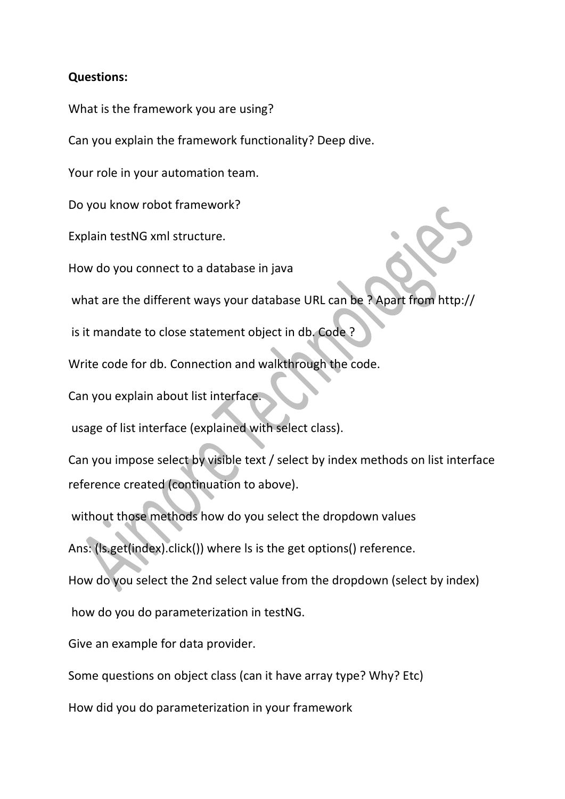## **Questions:**

What is the framework you are using?

Can you explain the framework functionality? Deep dive.

Your role in your automation team.

Do you know robot framework?

Explain testNG xml structure.

How do you connect to a database in java

what are the different ways your database URL can be ? Apart from http://

is it mandate to close statement object in db. Code ?

Write code for db. Connection and walkthrough the code.

Can you explain about list interface.

usage of list interface (explained with select class).

Can you impose select by visible text / select by index methods on list interface reference created (continuation to above).

without those methods how do you select the dropdown values

Ans: (ls.get(index).click()) where ls is the get options() reference.

How do you select the 2nd select value from the dropdown (select by index)

how do you do parameterization in testNG.

Give an example for data provider.

Some questions on object class (can it have array type? Why? Etc)

How did you do parameterization in your framework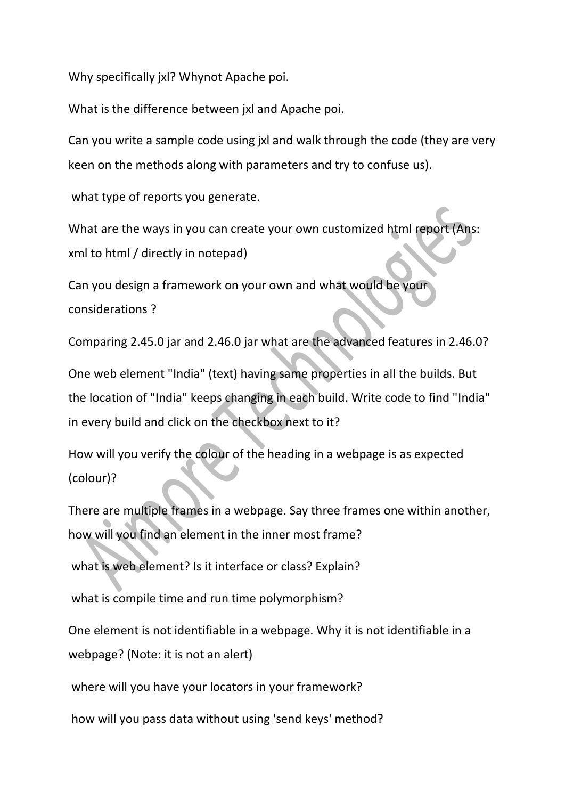Why specifically jxl? Whynot Apache poi.

What is the difference between jxl and Apache poi.

Can you write a sample code using jxl and walk through the code (they are very keen on the methods along with parameters and try to confuse us).

what type of reports you generate.

What are the ways in you can create your own customized html report (Ans: xml to html / directly in notepad)

Can you design a framework on your own and what would be your considerations ?

Comparing 2.45.0 jar and 2.46.0 jar what are the advanced features in 2.46.0?

One web element "India" (text) having same properties in all the builds. But the location of "India" keeps changing in each build. Write code to find "India" in every build and click on the checkbox next to it?

How will you verify the colour of the heading in a webpage is as expected (colour)?

There are multiple frames in a webpage. Say three frames one within another, how will you find an element in the inner most frame?

what is web element? Is it interface or class? Explain?

what is compile time and run time polymorphism?

One element is not identifiable in a webpage. Why it is not identifiable in a webpage? (Note: it is not an alert)

where will you have your locators in your framework?

how will you pass data without using 'send keys' method?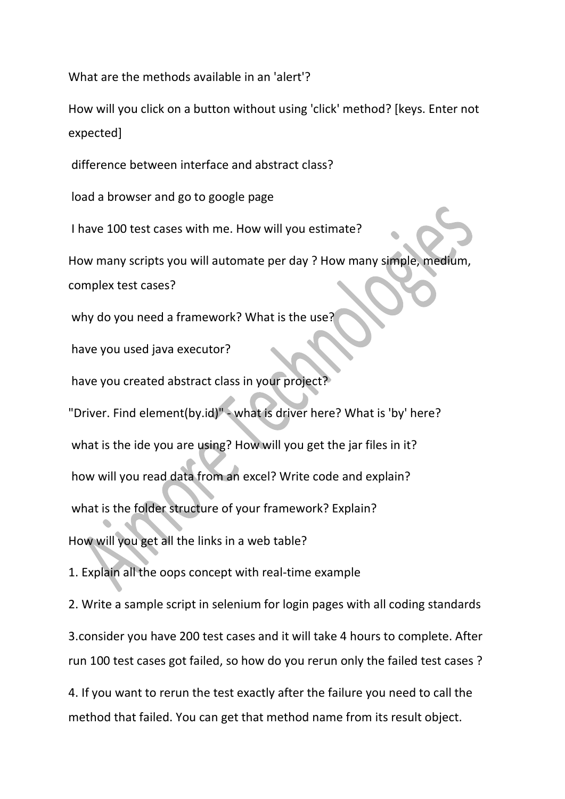What are the methods available in an 'alert'?

How will you click on a button without using 'click' method? [keys. Enter not expected]

difference between interface and abstract class?

load a browser and go to google page

I have 100 test cases with me. How will you estimate?

How many scripts you will automate per day ? How many simple, medium, complex test cases?

why do you need a framework? What is the use<sup>2</sup>

have you used java executor?

have you created abstract class in your project?

"Driver. Find element(by.id)" - what is driver here? What is 'by' here?

what is the ide you are using? How will you get the jar files in it?

how will you read data from an excel? Write code and explain?

what is the folder structure of your framework? Explain?

How will you get all the links in a web table?

1. Explain all the oops concept with real-time example

2. Write a sample script in selenium for login pages with all coding standards 3.consider you have 200 test cases and it will take 4 hours to complete. After run 100 test cases got failed, so how do you rerun only the failed test cases ?

4. If you want to rerun the test exactly after the failure you need to call the method that failed. You can get that method name from its result object.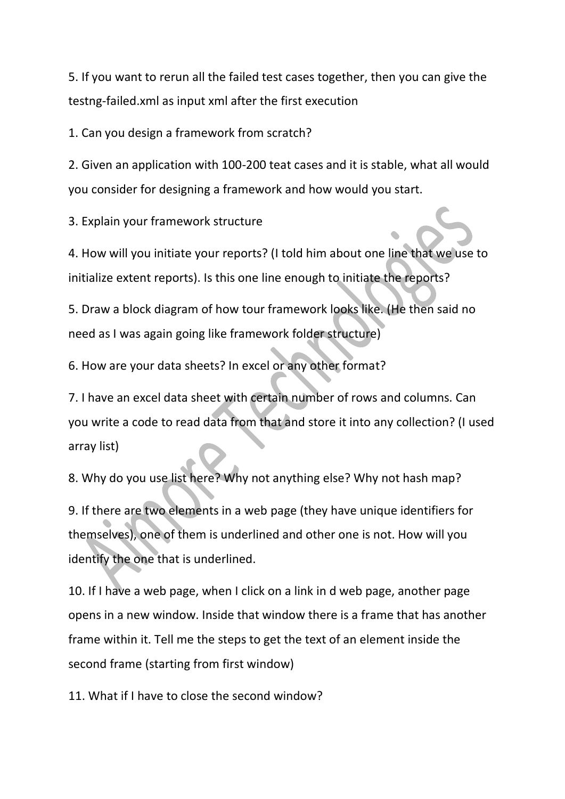5. If you want to rerun all the failed test cases together, then you can give the testng-failed.xml as input xml after the first execution

1. Can you design a framework from scratch?

2. Given an application with 100-200 teat cases and it is stable, what all would you consider for designing a framework and how would you start.

3. Explain your framework structure

4. How will you initiate your reports? (I told him about one line that we use to initialize extent reports). Is this one line enough to initiate the reports?

5. Draw a block diagram of how tour framework looks like. (He then said no need as I was again going like framework folder structure)

6. How are your data sheets? In excel or any other format?

7. I have an excel data sheet with certain number of rows and columns. Can you write a code to read data from that and store it into any collection? (I used array list)

8. Why do you use list here? Why not anything else? Why not hash map?

9. If there are two elements in a web page (they have unique identifiers for themselves), one of them is underlined and other one is not. How will you identify the one that is underlined.

10. If I have a web page, when I click on a link in d web page, another page opens in a new window. Inside that window there is a frame that has another frame within it. Tell me the steps to get the text of an element inside the second frame (starting from first window)

11. What if I have to close the second window?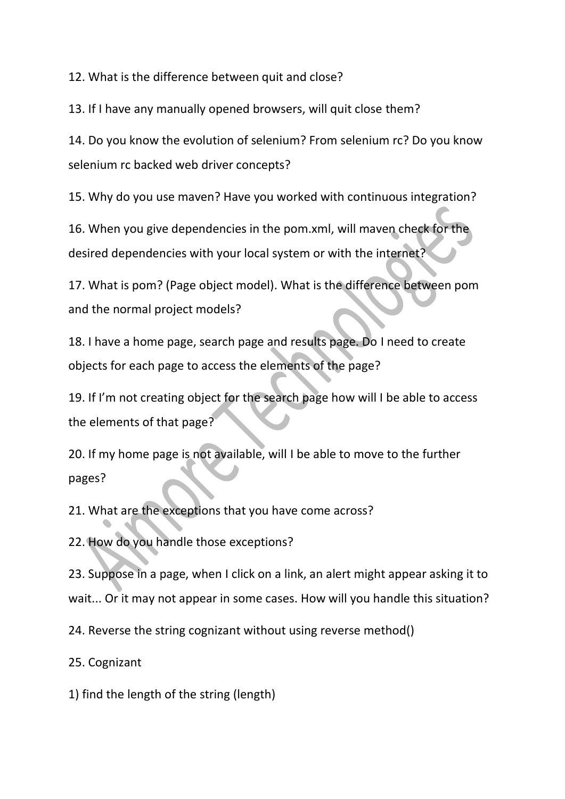12. What is the difference between quit and close?

13. If I have any manually opened browsers, will quit close them?

14. Do you know the evolution of selenium? From selenium rc? Do you know selenium rc backed web driver concepts?

15. Why do you use maven? Have you worked with continuous integration?

16. When you give dependencies in the pom.xml, will maven check for the desired dependencies with your local system or with the internet?

17. What is pom? (Page object model). What is the difference between pom and the normal project models?

18. I have a home page, search page and results page. Do I need to create objects for each page to access the elements of the page?

19. If I'm not creating object for the search page how will I be able to access the elements of that page?

20. If my home page is not available, will I be able to move to the further pages?

21. What are the exceptions that you have come across?

22. How do you handle those exceptions?

23. Suppose in a page, when I click on a link, an alert might appear asking it to wait... Or it may not appear in some cases. How will you handle this situation?

24. Reverse the string cognizant without using reverse method()

25. Cognizant

1) find the length of the string (length)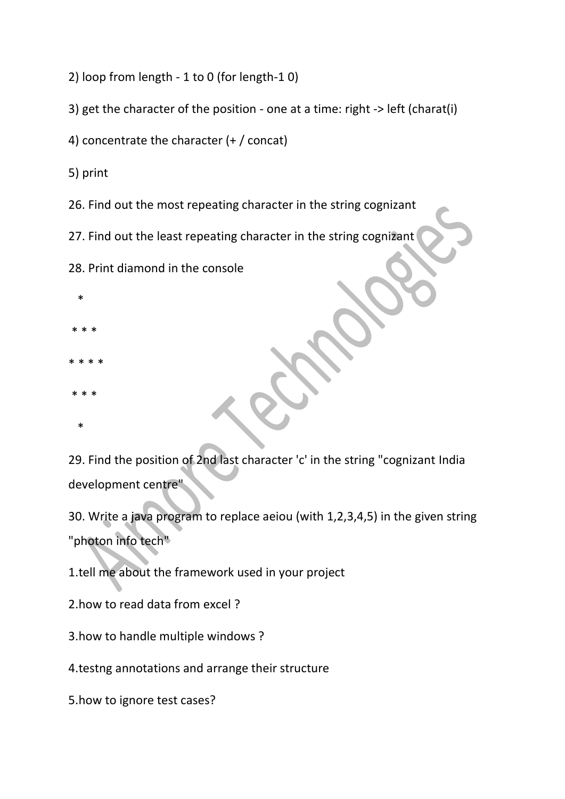2) loop from length - 1 to 0 (for length-1 0)

3) get the character of the position - one at a time: right -> left (charat(i)

4) concentrate the character (+ / concat)

5) print

26. Find out the most repeating character in the string cognizant

27. Find out the least repeating character in the string cognizant

28. Print diamond in the console

- \*
- \* \* \*
- \* \* \* \*
- \* \* \*
- \*

29. Find the position of 2nd last character 'c' in the string "cognizant India development centre"

30. Write a java program to replace aeiou (with 1,2,3,4,5) in the given string "photon info tech"

1.tell me about the framework used in your project

2.how to read data from excel ?

3.how to handle multiple windows ?

4.testng annotations and arrange their structure

5.how to ignore test cases?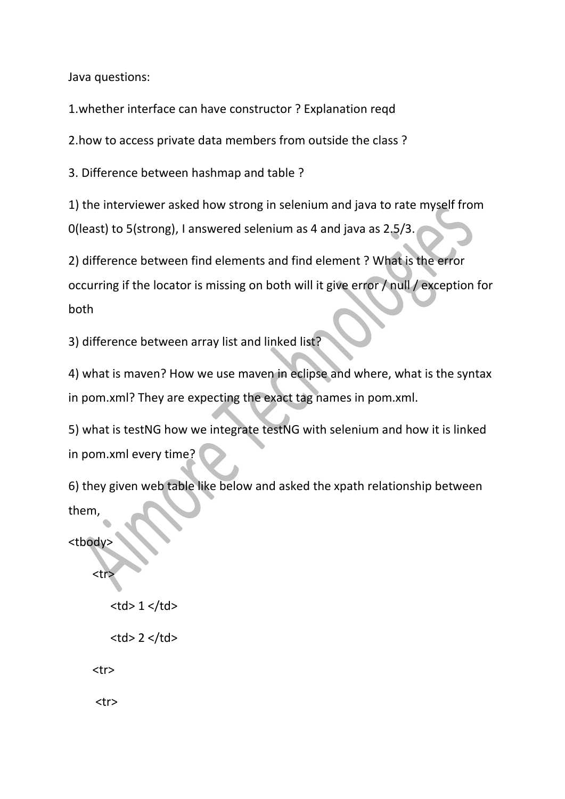Java questions:

1.whether interface can have constructor ? Explanation reqd

2.how to access private data members from outside the class ?

3. Difference between hashmap and table ?

1) the interviewer asked how strong in selenium and java to rate myself from 0(least) to 5(strong), I answered selenium as 4 and java as 2.5/3.

2) difference between find elements and find element ? What is the error occurring if the locator is missing on both will it give error / null / exception for both

3) difference between array list and linked list?

4) what is maven? How we use maven in eclipse and where, what is the syntax in pom.xml? They are expecting the exact tag names in pom.xml.

5) what is testNG how we integrate testNG with selenium and how it is linked in pom.xml every time?

6) they given web table like below and asked the xpath relationship between them,

<tbody>

<tr>

```
<br><math>1</math> <math>z</math>
```
 $<$ td> 2 $<$ /td>

<tr>

<tr>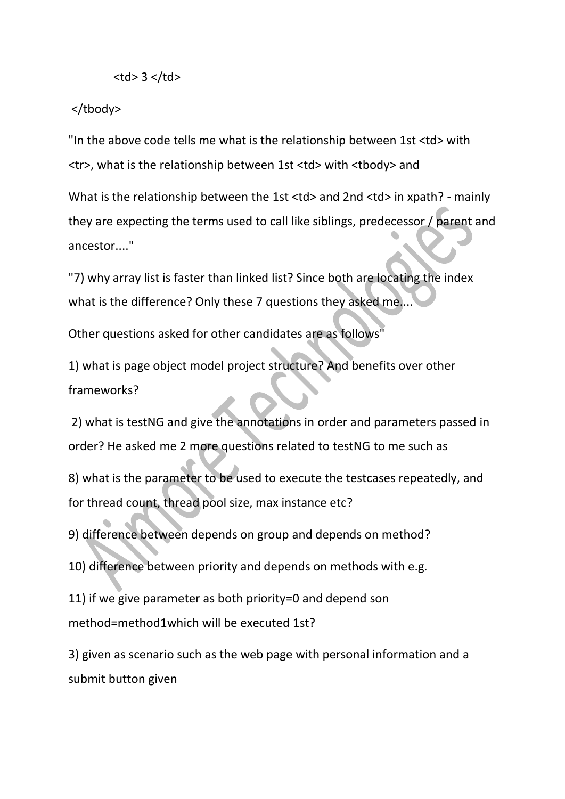## $$3$   $>$$

## </tbody>

"In the above code tells me what is the relationship between 1st <td> with <tr>, what is the relationship between 1st <td> with <tbody> and

What is the relationship between the 1st <td> and 2nd <td> in xpath? - mainly they are expecting the terms used to call like siblings, predecessor / parent and ancestor...."

"7) why array list is faster than linked list? Since both are locating the index what is the difference? Only these 7 questions they asked me...

Other questions asked for other candidates are as follows"

1) what is page object model project structure? And benefits over other frameworks?

2) what is testNG and give the annotations in order and parameters passed in order? He asked me 2 more questions related to testNG to me such as

8) what is the parameter to be used to execute the testcases repeatedly, and for thread count, thread pool size, max instance etc?

9) difference between depends on group and depends on method?

10) difference between priority and depends on methods with e.g.

11) if we give parameter as both priority=0 and depend son method=method1which will be executed 1st?

3) given as scenario such as the web page with personal information and a submit button given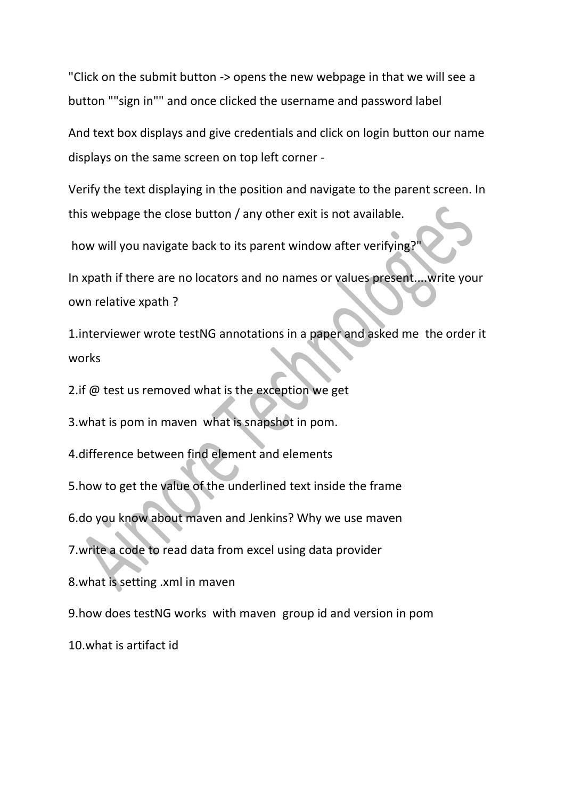"Click on the submit button -> opens the new webpage in that we will see a button ""sign in"" and once clicked the username and password label

And text box displays and give credentials and click on login button our name displays on the same screen on top left corner -

Verify the text displaying in the position and navigate to the parent screen. In this webpage the close button / any other exit is not available.

how will you navigate back to its parent window after verifying?

In xpath if there are no locators and no names or values present....write your own relative xpath ?

1.interviewer wrote testNG annotations in a paper and asked me the order it works

2.if @ test us removed what is the exception we get

3.what is pom in maven what is snapshot in pom.

4.difference between find element and elements

5.how to get the value of the underlined text inside the frame

6.do you know about maven and Jenkins? Why we use maven

7.write a code to read data from excel using data provider

8.what is setting .xml in maven

9.how does testNG works with maven group id and version in pom

10.what is artifact id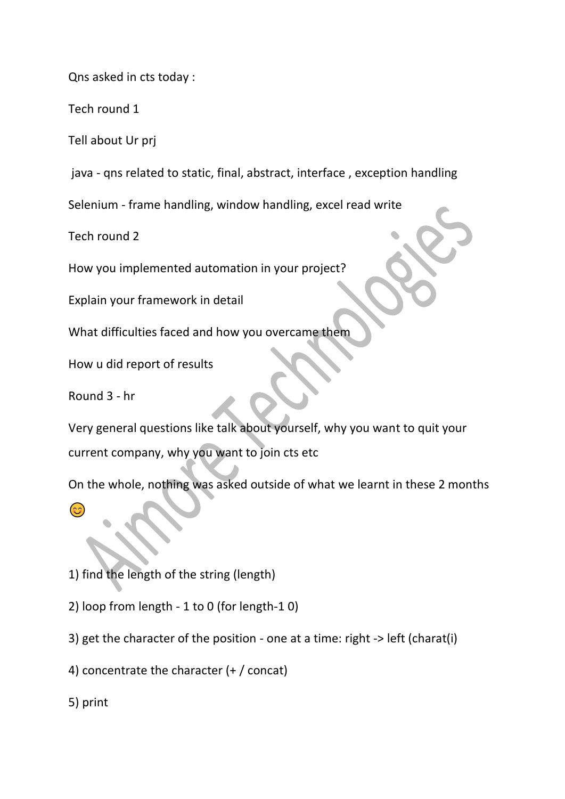Qns asked in cts today :

Tech round 1

Tell about Ur prj

java - qns related to static, final, abstract, interface , exception handling

Selenium - frame handling, window handling, excel read write

Tech round 2

How you implemented automation in your project?

Explain your framework in detail

What difficulties faced and how you overcame them

How u did report of results

Round 3 - hr

Very general questions like talk about yourself, why you want to quit your current company, why you want to join cts etc

On the whole, nothing was asked outside of what we learnt in these 2 months

(၁၁

1) find the length of the string (length)

2) loop from length - 1 to 0 (for length-1 0)

3) get the character of the position - one at a time: right -> left (charat(i)

4) concentrate the character (+ / concat)

5) print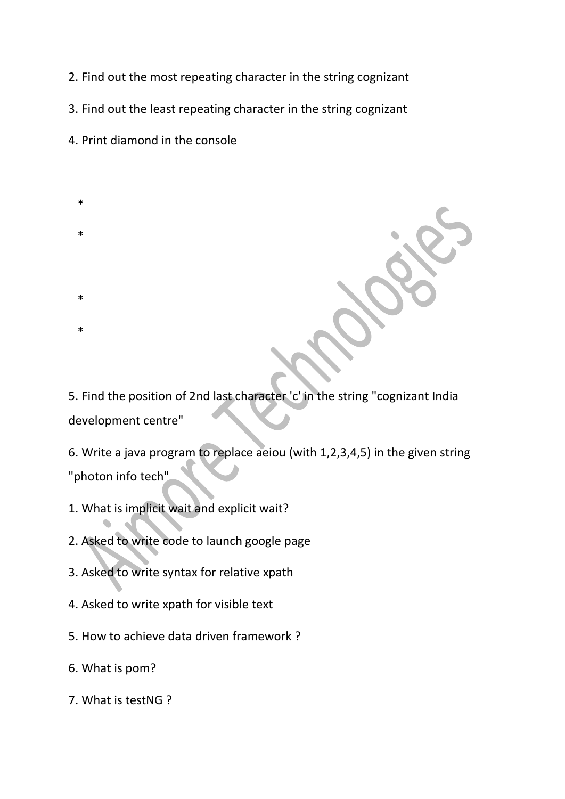- 2. Find out the most repeating character in the string cognizant
- 3. Find out the least repeating character in the string cognizant
- 4. Print diamond in the console
- \*
- \*

\*

- \*
- 5. Find the position of 2nd last character 'c' in the string "cognizant India development centre"
- 6. Write a java program to replace aeiou (with 1,2,3,4,5) in the given string "photon info tech"
- 1. What is implicit wait and explicit wait?
- 2. Asked to write code to launch google page
- 3. Asked to write syntax for relative xpath
- 4. Asked to write xpath for visible text
- 5. How to achieve data driven framework ?
- 6. What is pom?
- 7. What is testNG ?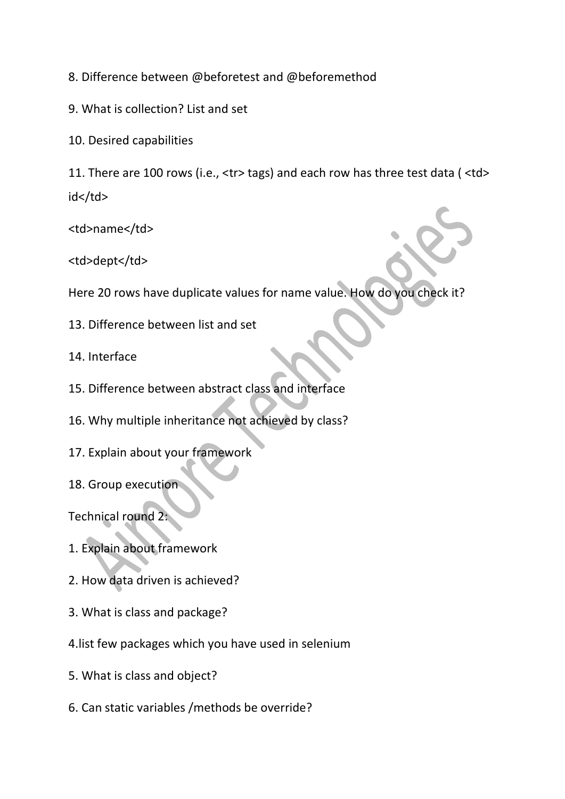8. Difference between @beforetest and @beforemethod

- 9. What is collection? List and set
- 10. Desired capabilities

11. There are 100 rows (i.e., <tr> tags) and each row has three test data ( <td> id</td>

<td>name</td>

<td>dept</td>

Here 20 rows have duplicate values for name value. How do you check it?

- 13. Difference between list and set
- 14. Interface
- 15. Difference between abstract class and interface
- 16. Why multiple inheritance not achieved by class?
- 17. Explain about your framework
- 18. Group execution

Technical round 2:

- 1. Explain about framework
- 2. How data driven is achieved?
- 3. What is class and package?
- 4.list few packages which you have used in selenium
- 5. What is class and object?
- 6. Can static variables /methods be override?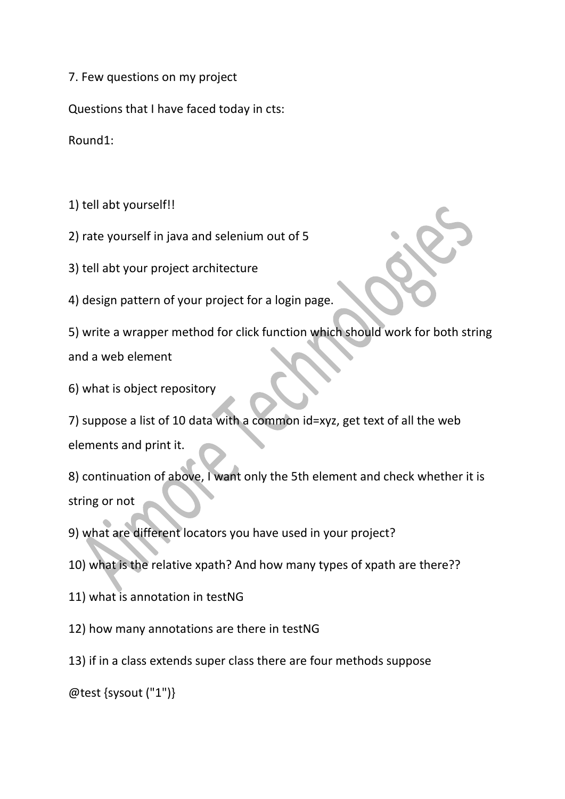7. Few questions on my project

Questions that I have faced today in cts:

Round1:

1) tell abt yourself!!

2) rate yourself in java and selenium out of 5

3) tell abt your project architecture

4) design pattern of your project for a login page.

5) write a wrapper method for click function which should work for both string and a web element

6) what is object repository

7) suppose a list of 10 data with a common id=xyz, get text of all the web elements and print it.

8) continuation of above, I want only the 5th element and check whether it is string or not

9) what are different locators you have used in your project?

10) what is the relative xpath? And how many types of xpath are there??

11) what is annotation in testNG

12) how many annotations are there in testNG

13) if in a class extends super class there are four methods suppose

@test {sysout ("1")}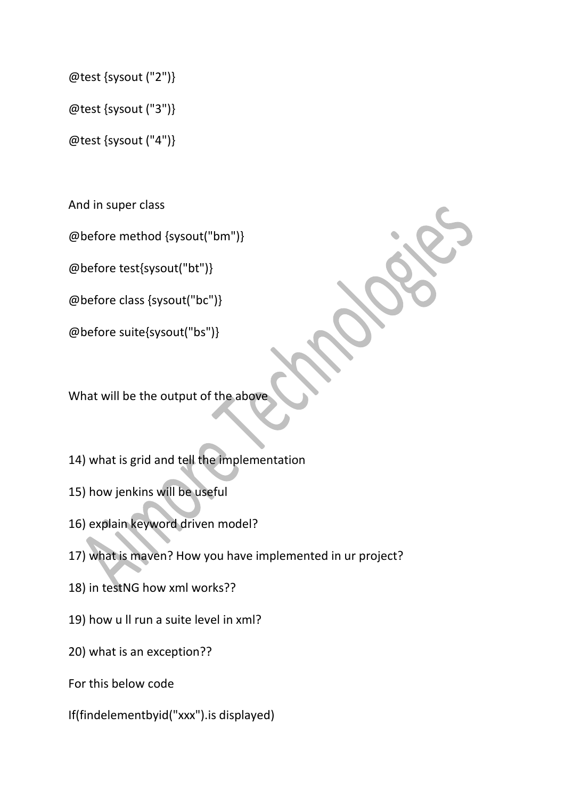@test {sysout ("2")}

@test {sysout ("3")}

@test {sysout ("4")}

And in super class

@before method {sysout("bm")}

@before test{sysout("bt")}

@before class {sysout("bc")}

@before suite{sysout("bs")}

What will be the output of the abov

14) what is grid and tell the implementation

15) how jenkins will be useful

16) explain keyword driven model?

17) what is maven? How you have implemented in ur project?

18) in testNG how xml works??

19) how u ll run a suite level in xml?

20) what is an exception??

For this below code

If(findelementbyid("xxx").is displayed)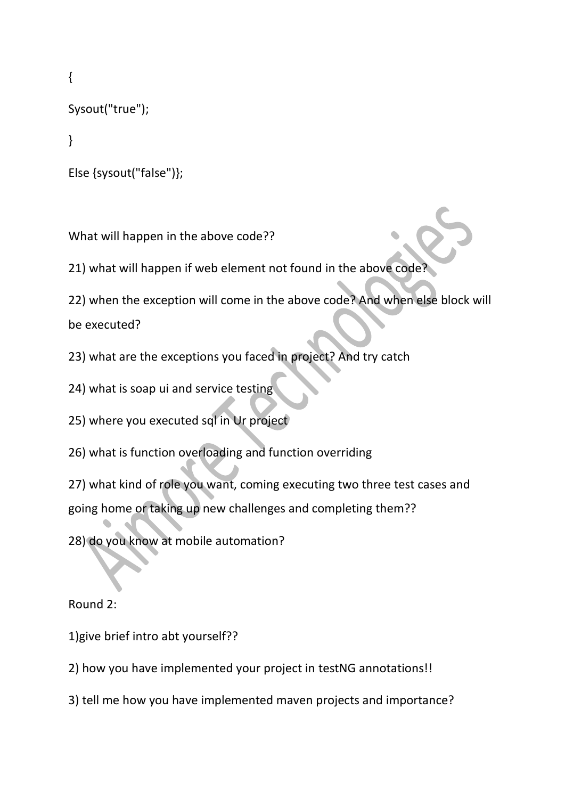{

Sysout("true");

}

```
Else {sysout("false")};
```
What will happen in the above code??

21) what will happen if web element not found in the above code?

22) when the exception will come in the above code? And when else block will

be executed?

23) what are the exceptions you faced in project? And try catch

24) what is soap ui and service testing

25) where you executed sql in Ur project

26) what is function overloading and function overriding

27) what kind of role you want, coming executing two three test cases and going home or taking up new challenges and completing them??

28) do you know at mobile automation?

Round 2:

1)give brief intro abt yourself??

2) how you have implemented your project in testNG annotations!!

3) tell me how you have implemented maven projects and importance?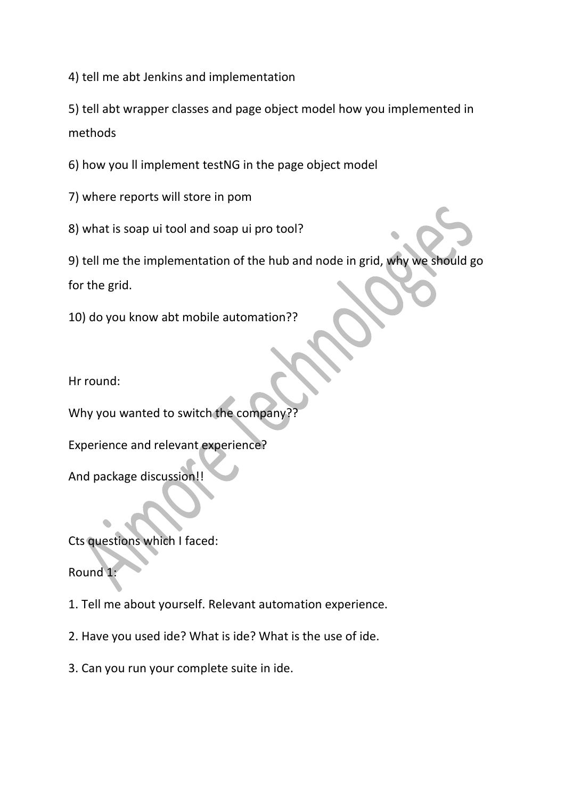4) tell me abt Jenkins and implementation

5) tell abt wrapper classes and page object model how you implemented in methods

6) how you ll implement testNG in the page object model

7) where reports will store in pom

8) what is soap ui tool and soap ui pro tool?

9) tell me the implementation of the hub and node in grid, why we should go for the grid.

10) do you know abt mobile automation??

Hr round:

Why you wanted to switch the company

Experience and relevant experience?

And package discussion!!

Cts questions which I faced:

Round 1:

1. Tell me about yourself. Relevant automation experience.

2. Have you used ide? What is ide? What is the use of ide.

3. Can you run your complete suite in ide.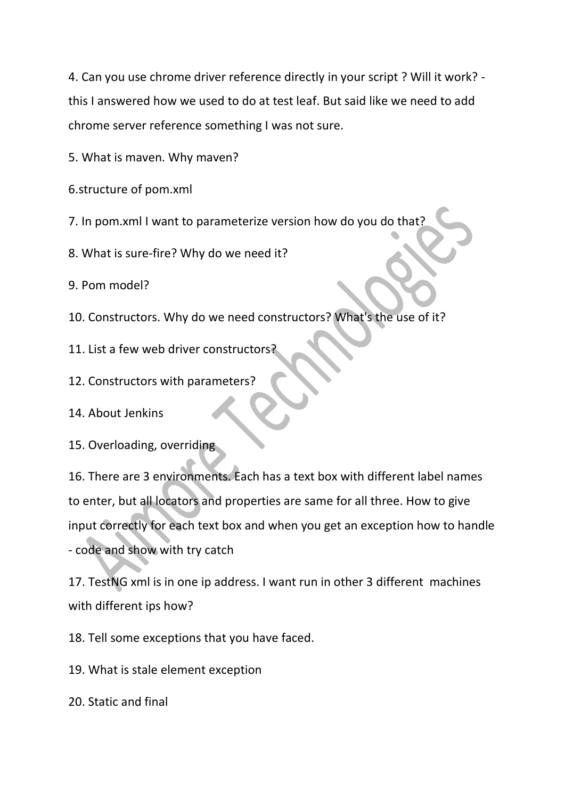4. Can you use chrome driver reference directly in your script ? Will it work? this I answered how we used to do at test leaf. But said like we need to add chrome server reference something I was not sure.

5. What is maven. Why maven?

6.structure of pom.xml

7. In pom.xml I want to parameterize version how do you do that?

8. What is sure-fire? Why do we need it?

9. Pom model?

- 10. Constructors. Why do we need constructors? What's the use of it?
- 11. List a few web driver constructors?
- 12. Constructors with parameters?
- 14. About Jenkins
- 15. Overloading, overriding

16. There are 3 environments. Each has a text box with different label names to enter, but all locators and properties are same for all three. How to give input correctly for each text box and when you get an exception how to handle - code and show with try catch

17. TestNG xml is in one ip address. I want run in other 3 different machines with different ips how?

18. Tell some exceptions that you have faced.

19. What is stale element exception

20. Static and final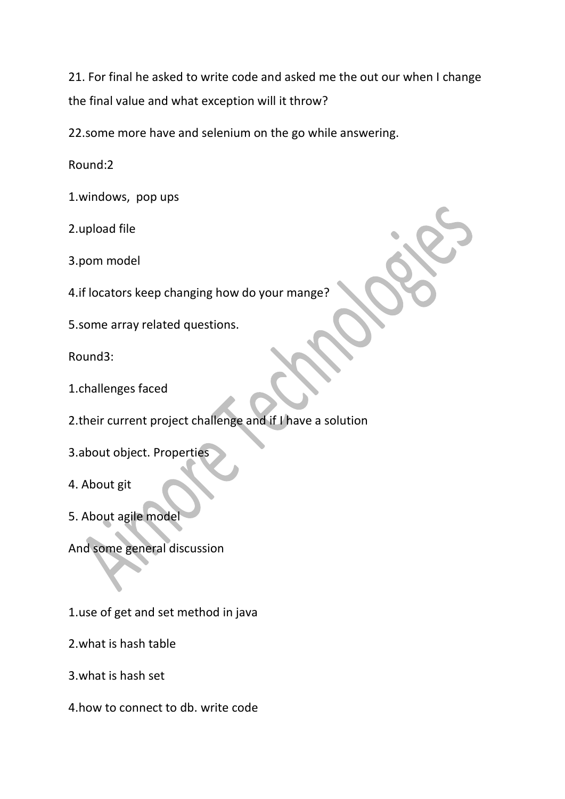21. For final he asked to write code and asked me the out our when I change the final value and what exception will it throw?

22.some more have and selenium on the go while answering.

Round:2

1.windows, pop ups

2.upload file

3.pom model

4.if locators keep changing how do your mange?

5.some array related questions.

Round3:

1.challenges faced

2.their current project challenge and if I have a solution

3.about object. Properties

4. About git

5. About agile model

And some general discussion

1.use of get and set method in java

2.what is hash table

3.what is hash set

4.how to connect to db. write code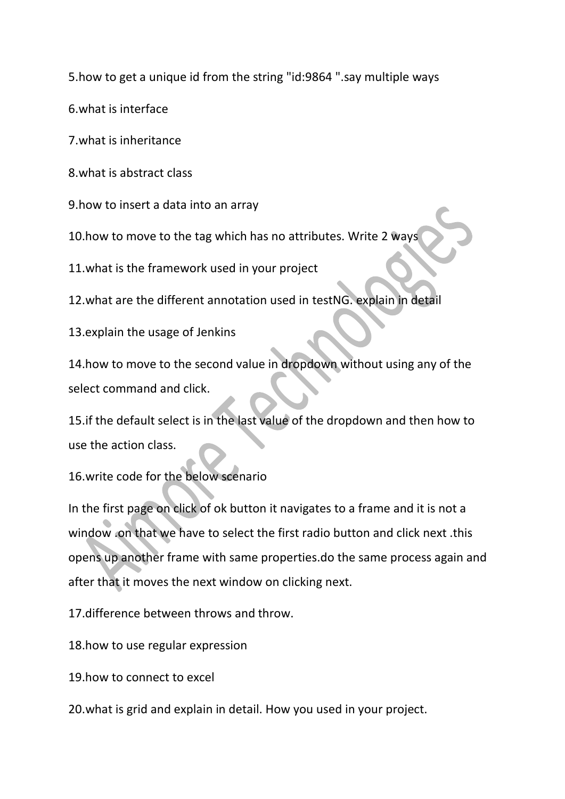5.how to get a unique id from the string "id:9864 ".say multiple ways

6.what is interface

7.what is inheritance

8.what is abstract class

9.how to insert a data into an array

10.how to move to the tag which has no attributes. Write 2 ways

11.what is the framework used in your project

12.what are the different annotation used in testNG. explain in detail

13.explain the usage of Jenkins

14.how to move to the second value in dropdown without using any of the select command and click.

15.if the default select is in the last value of the dropdown and then how to use the action class.

16.write code for the below scenario

In the first page on click of ok button it navigates to a frame and it is not a window .on that we have to select the first radio button and click next .this opens up another frame with same properties.do the same process again and after that it moves the next window on clicking next.

17.difference between throws and throw.

18.how to use regular expression

19.how to connect to excel

20.what is grid and explain in detail. How you used in your project.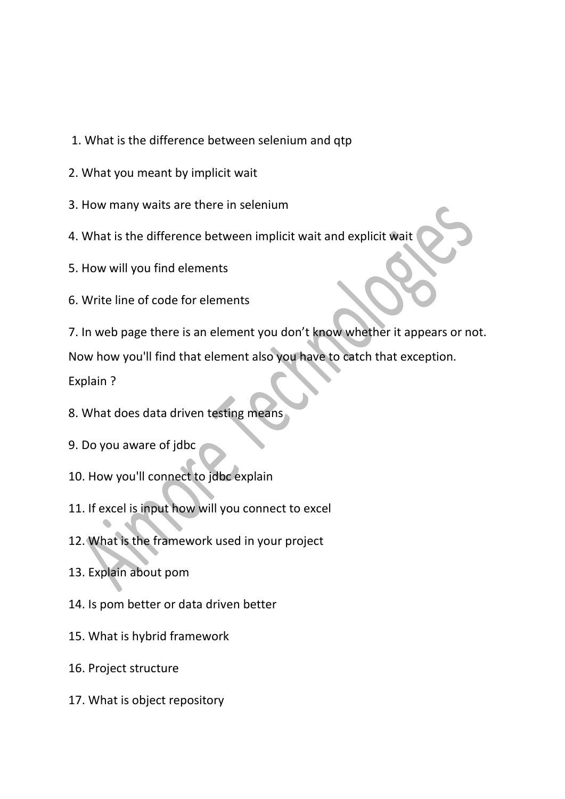- 1. What is the difference between selenium and qtp
- 2. What you meant by implicit wait
- 3. How many waits are there in selenium
- 4. What is the difference between implicit wait and explicit wait
- 5. How will you find elements
- 6. Write line of code for elements
- 7. In web page there is an element you don't know whether it appears or not.

Now how you'll find that element also you have to catch that exception.

Explain ?

- 8. What does data driven testing means
- 9. Do you aware of jdbc
- 10. How you'll connect to jdbc explain
- 11. If excel is input how will you connect to excel
- 12. What is the framework used in your project
- 13. Explain about pom
- 14. Is pom better or data driven better
- 15. What is hybrid framework
- 16. Project structure
- 17. What is object repository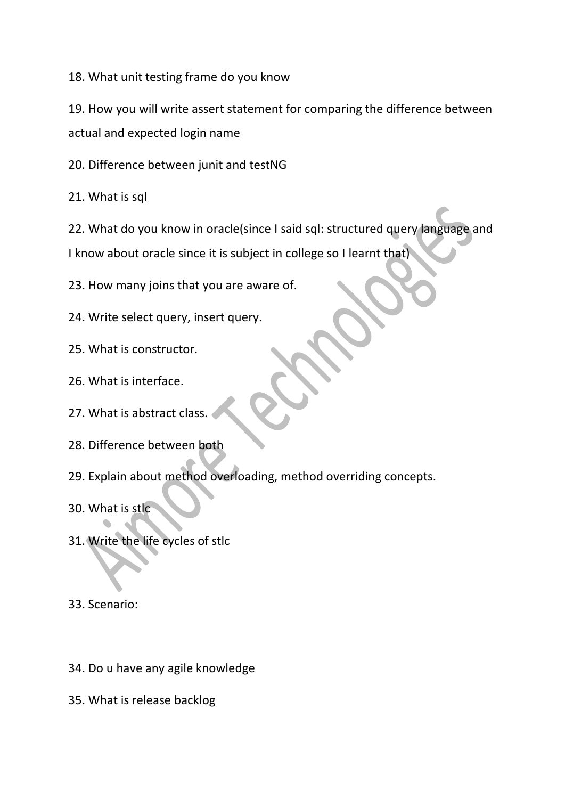18. What unit testing frame do you know

19. How you will write assert statement for comparing the difference between actual and expected login name

20. Difference between junit and testNG

21. What is sql

22. What do you know in oracle(since I said sql: structured query language and I know about oracle since it is subject in college so I learnt that)

23. How many joins that you are aware of.

24. Write select query, insert query.

25. What is constructor.

26. What is interface.

27. What is abstract class.

28. Difference between both

29. Explain about method overloading, method overriding concepts.

30. What is stlc

31. Write the life cycles of stlc

33. Scenario:

34. Do u have any agile knowledge

35. What is release backlog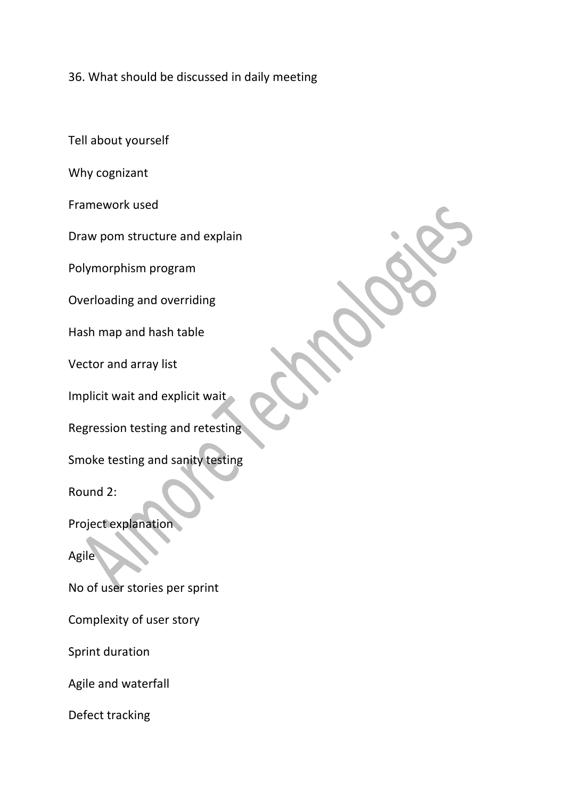36. What should be discussed in daily meeting

Tell about yourself

Why cognizant

Framework used

Draw pom structure and explain

Polymorphism program

Overloading and overriding

Hash map and hash table

Vector and array list

Implicit wait and explicit wait

Regression testing and retesting

Smoke testing and sanity testing

Round 2:

Project explanation

Agile

No of user stories per sprint

Complexity of user story

Sprint duration

Agile and waterfall

Defect tracking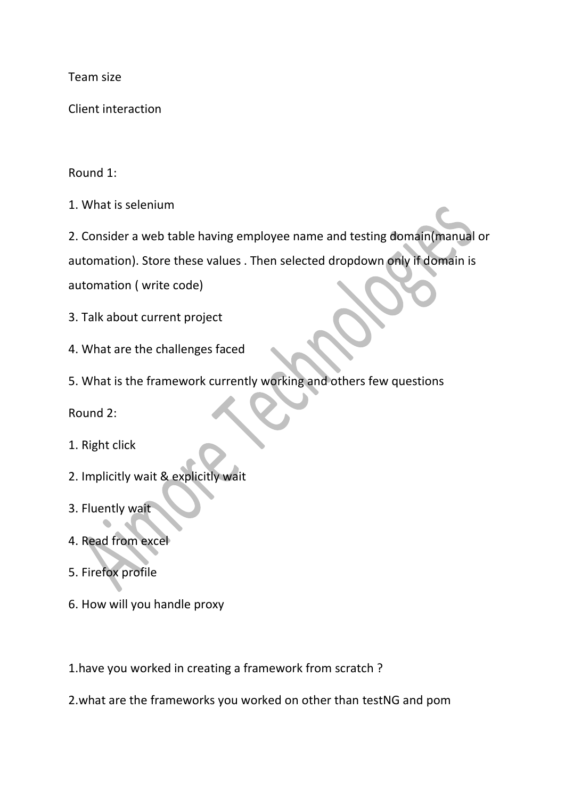Team size

Client interaction

## Round 1:

1. What is selenium

2. Consider a web table having employee name and testing domain(manual or

automation). Store these values . Then selected dropdown only if domain is

automation ( write code)

- 3. Talk about current project
- 4. What are the challenges faced
- 5. What is the framework currently working and others few questions

Round 2:

- 1. Right click
- 2. Implicitly wait & explicitly wait
- 3. Fluently wait
- 4. Read from excel
- 5. Firefox profile
- 6. How will you handle proxy
- 1.have you worked in creating a framework from scratch ?
- 2.what are the frameworks you worked on other than testNG and pom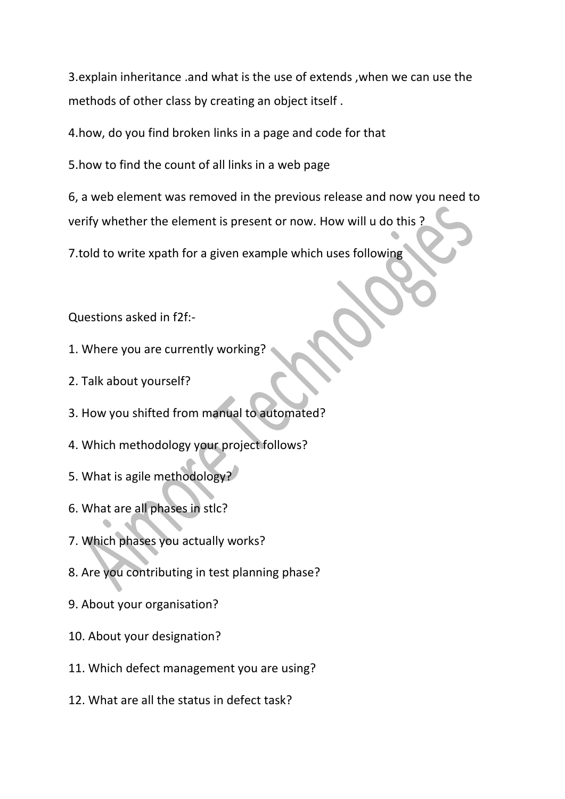3.explain inheritance .and what is the use of extends ,when we can use the methods of other class by creating an object itself .

4.how, do you find broken links in a page and code for that

5.how to find the count of all links in a web page

6, a web element was removed in the previous release and now you need to verify whether the element is present or now. How will u do this ?

7.told to write xpath for a given example which uses following

Questions asked in f2f:-

- 1. Where you are currently working?
- 2. Talk about yourself?
- 3. How you shifted from manual to automated?
- 4. Which methodology your project follows?
- 5. What is agile methodology?
- 6. What are all phases in stlc?
- 7. Which phases you actually works?
- 8. Are you contributing in test planning phase?
- 9. About your organisation?
- 10. About your designation?
- 11. Which defect management you are using?
- 12. What are all the status in defect task?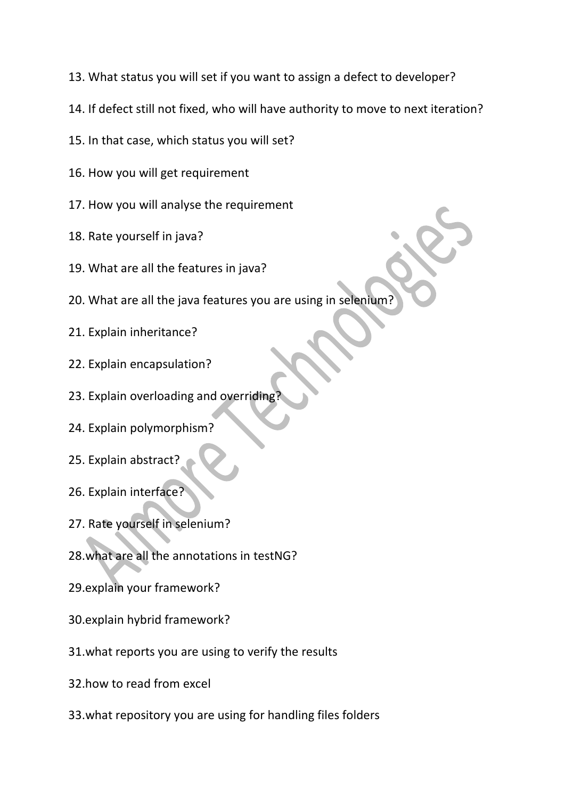- 13. What status you will set if you want to assign a defect to developer?
- 14. If defect still not fixed, who will have authority to move to next iteration?
- 15. In that case, which status you will set?
- 16. How you will get requirement
- 17. How you will analyse the requirement
- 18. Rate yourself in java?
- 19. What are all the features in java?
- 20. What are all the java features you are using in selenium?
- 21. Explain inheritance?
- 22. Explain encapsulation?
- 23. Explain overloading and overridin
- 24. Explain polymorphism?
- 25. Explain abstract?
- 26. Explain interface?
- 27. Rate yourself in selenium?
- 28.what are all the annotations in testNG?
- 29.explain your framework?
- 30.explain hybrid framework?
- 31.what reports you are using to verify the results
- 32.how to read from excel
- 33.what repository you are using for handling files folders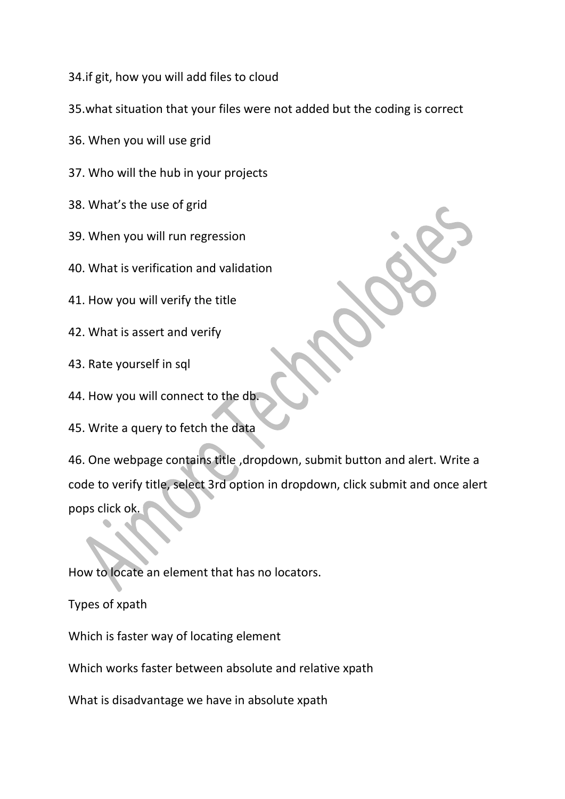34.if git, how you will add files to cloud

- 35.what situation that your files were not added but the coding is correct
- 36. When you will use grid
- 37. Who will the hub in your projects
- 38. What's the use of grid
- 39. When you will run regression
- 40. What is verification and validation
- 41. How you will verify the title
- 42. What is assert and verify
- 43. Rate yourself in sql
- 44. How you will connect to the db.
- 45. Write a query to fetch the data

46. One webpage contains title ,dropdown, submit button and alert. Write a code to verify title, select 3rd option in dropdown, click submit and once alert pops click ok.

How to locate an element that has no locators.

Types of xpath

Which is faster way of locating element

Which works faster between absolute and relative xpath

What is disadvantage we have in absolute xpath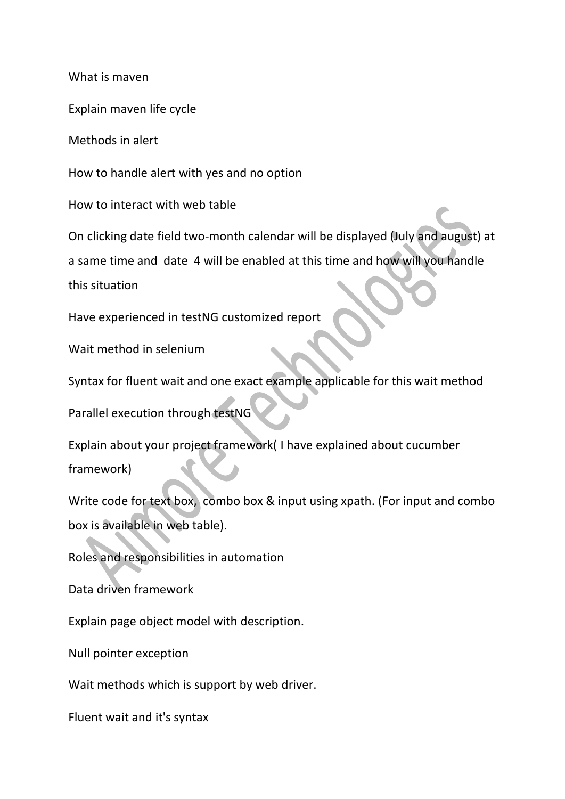What is maven

Explain maven life cycle

Methods in alert

How to handle alert with yes and no option

How to interact with web table

On clicking date field two-month calendar will be displayed (July and august) at

a same time and date 4 will be enabled at this time and how will you handle

this situation

Have experienced in testNG customized report

Wait method in selenium

Syntax for fluent wait and one exact example applicable for this wait method

Parallel execution through testNG

Explain about your project framework( I have explained about cucumber framework)

Write code for text box, combo box & input using xpath. (For input and combo box is available in web table).

Roles and responsibilities in automation

Data driven framework

Explain page object model with description.

Null pointer exception

Wait methods which is support by web driver.

Fluent wait and it's syntax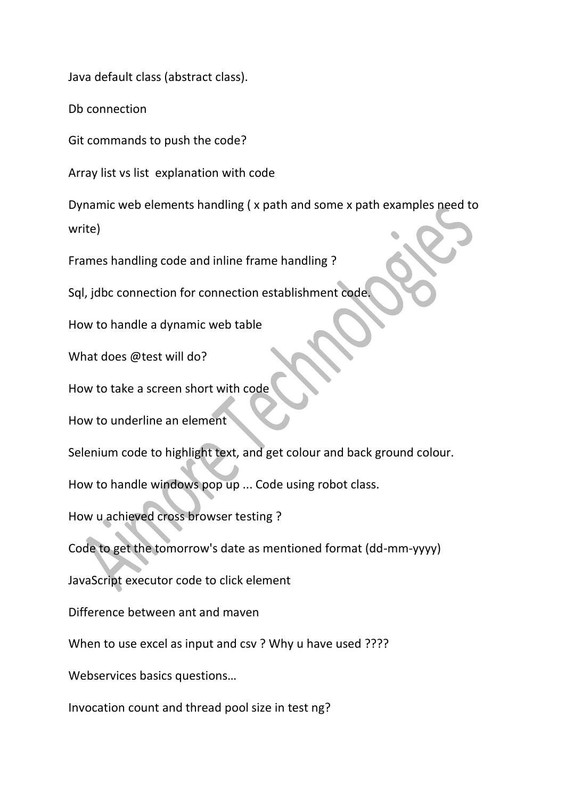Java default class (abstract class).

Db connection

Git commands to push the code?

Array list vs list explanation with code

Dynamic web elements handling ( x path and some x path examples need to write)

Frames handling code and inline frame handling ?

Sql, jdbc connection for connection establishment code.

How to handle a dynamic web table

What does @test will do?

How to take a screen short with code

How to underline an element

Selenium code to highlight text, and get colour and back ground colour.

How to handle windows pop up ... Code using robot class.

How u achieved cross browser testing ?

Code to get the tomorrow's date as mentioned format (dd-mm-yyyy)

JavaScript executor code to click element

Difference between ant and maven

When to use excel as input and csv ? Why u have used ????

Webservices basics questions…

Invocation count and thread pool size in test ng?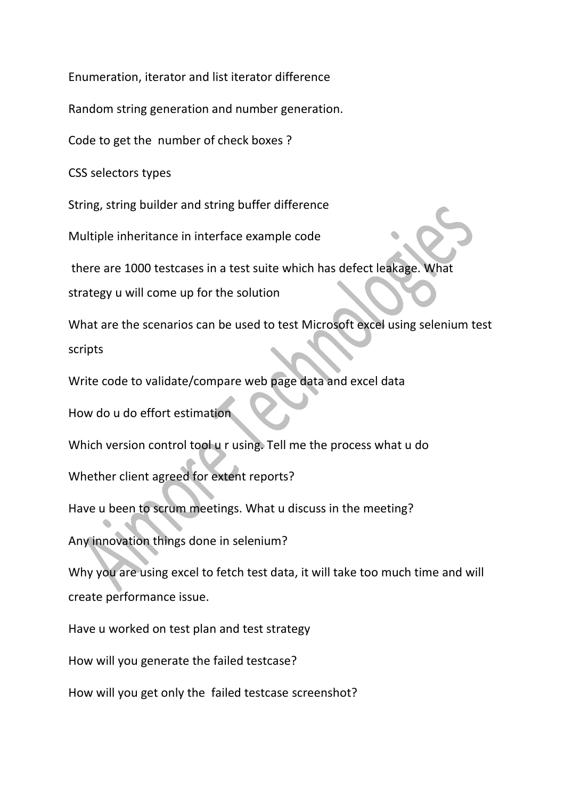Enumeration, iterator and list iterator difference

Random string generation and number generation.

Code to get the number of check boxes ?

CSS selectors types

String, string builder and string buffer difference

Multiple inheritance in interface example code

there are 1000 testcases in a test suite which has defect leakage. What

strategy u will come up for the solution

What are the scenarios can be used to test Microsoft excel using selenium test scripts

Write code to validate/compare web page data and excel data

How do u do effort estimation

Which version control tool u r using. Tell me the process what u do

Whether client agreed for extent reports?

Have u been to scrum meetings. What u discuss in the meeting?

Any innovation things done in selenium?

Why you are using excel to fetch test data, it will take too much time and will create performance issue.

Have u worked on test plan and test strategy

How will you generate the failed testcase?

How will you get only the failed testcase screenshot?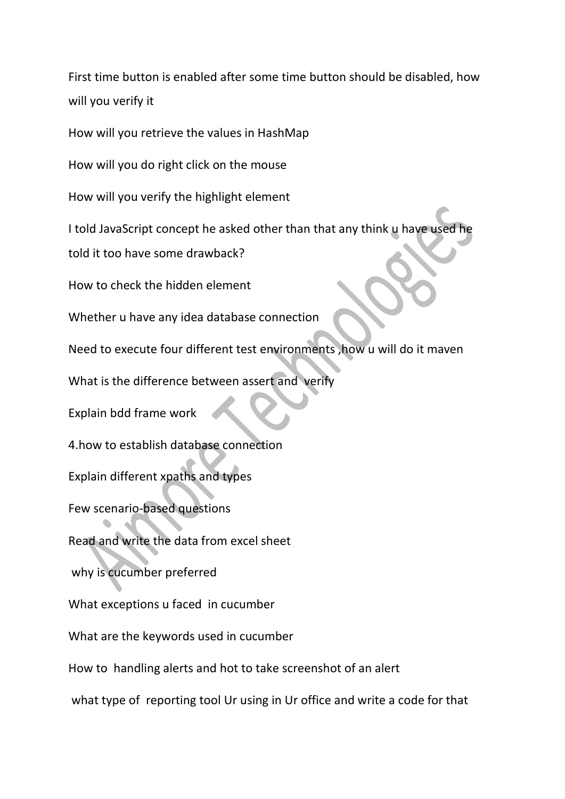First time button is enabled after some time button should be disabled, how will you verify it

How will you retrieve the values in HashMap

How will you do right click on the mouse

How will you verify the highlight element

I told JavaScript concept he asked other than that any think u have used he

told it too have some drawback?

How to check the hidden element

Whether u have any idea database connection

Need to execute four different test environments ,how u will do it maven

What is the difference between assert and verify

Explain bdd frame work

4.how to establish database connection

Explain different xpaths and types

Few scenario-based questions

Read and write the data from excel sheet

why is cucumber preferred

What exceptions u faced in cucumber

What are the keywords used in cucumber

How to handling alerts and hot to take screenshot of an alert

what type of reporting tool Ur using in Ur office and write a code for that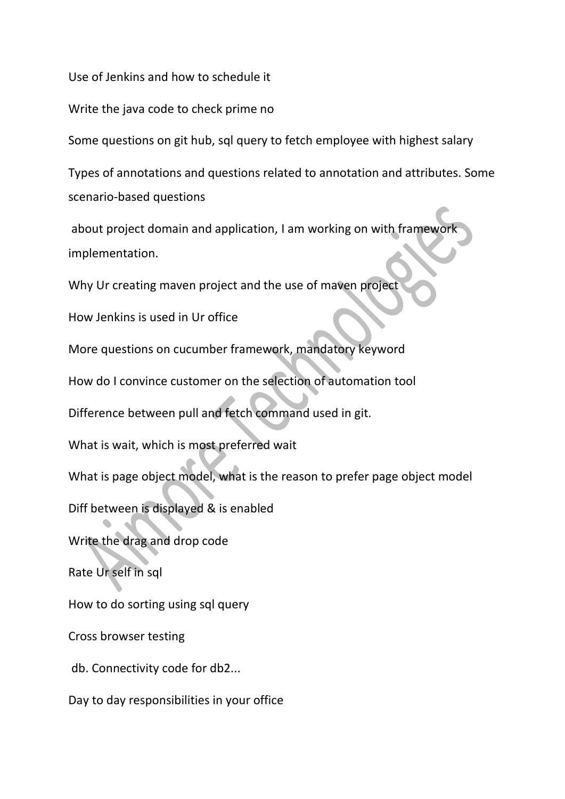Use of Jenkins and how to schedule it

Write the java code to check prime no

Some questions on git hub, sql query to fetch employee with highest salary

Types of annotations and questions related to annotation and attributes. Some scenario-based questions

about project domain and application, I am working on with framewor implementation.

Why Ur creating maven project and the use of maven project

How Jenkins is used in Ur office

More questions on cucumber framework, mandatory keyword

How do I convince customer on the selection of automation tool

Difference between pull and fetch command used in git.

What is wait, which is most preferred wait

What is page object model, what is the reason to prefer page object model

Diff between is displayed & is enabled

Write the drag and drop code

Rate Ur self in sql

How to do sorting using sql query

Cross browser testing

db. Connectivity code for db2...

Day to day responsibilities in your office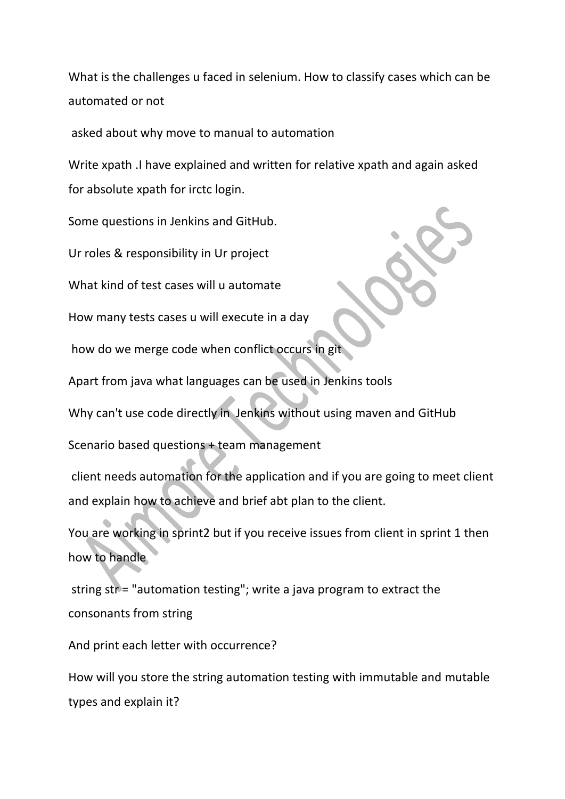What is the challenges u faced in selenium. How to classify cases which can be automated or not

asked about why move to manual to automation

Write xpath .I have explained and written for relative xpath and again asked for absolute xpath for irctc login.

Some questions in Jenkins and GitHub.

Ur roles & responsibility in Ur project

What kind of test cases will u automate

How many tests cases u will execute in a day

how do we merge code when conflict occurs in git

Apart from java what languages can be used in Jenkins tools

Why can't use code directly in Jenkins without using maven and GitHub

Scenario based questions + team management

client needs automation for the application and if you are going to meet client and explain how to achieve and brief abt plan to the client.

You are working in sprint2 but if you receive issues from client in sprint 1 then how to handle

string str = "automation testing"; write a java program to extract the consonants from string

And print each letter with occurrence?

How will you store the string automation testing with immutable and mutable types and explain it?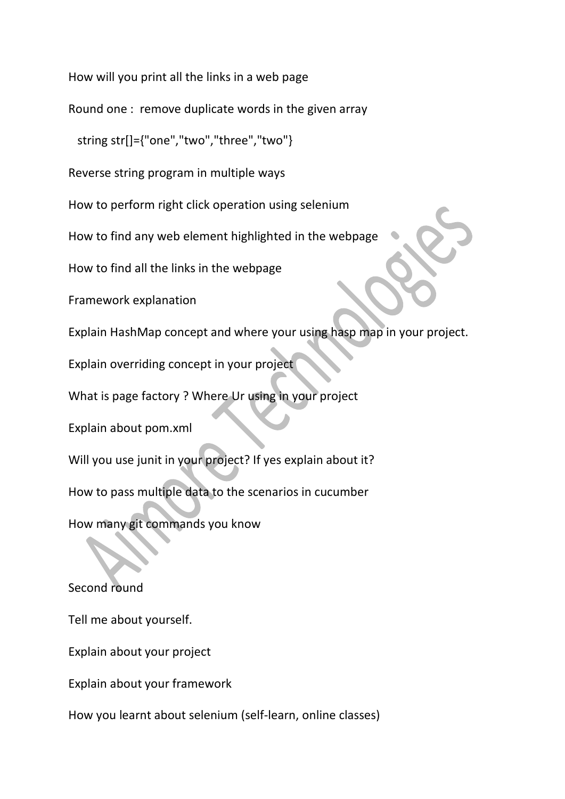How will you print all the links in a web page

Round one : remove duplicate words in the given array

string str[]={"one","two","three","two"}

Reverse string program in multiple ways

How to perform right click operation using selenium

How to find any web element highlighted in the webpage

How to find all the links in the webpage

Framework explanation

Explain HashMap concept and where your using hasp map in your project.

Explain overriding concept in your project

What is page factory ? Where Ur using in your project

Explain about pom.xml

Will you use junit in your project? If yes explain about it?

How to pass multiple data to the scenarios in cucumber

How many git commands you know

Second round

Tell me about yourself.

Explain about your project

Explain about your framework

How you learnt about selenium (self-learn, online classes)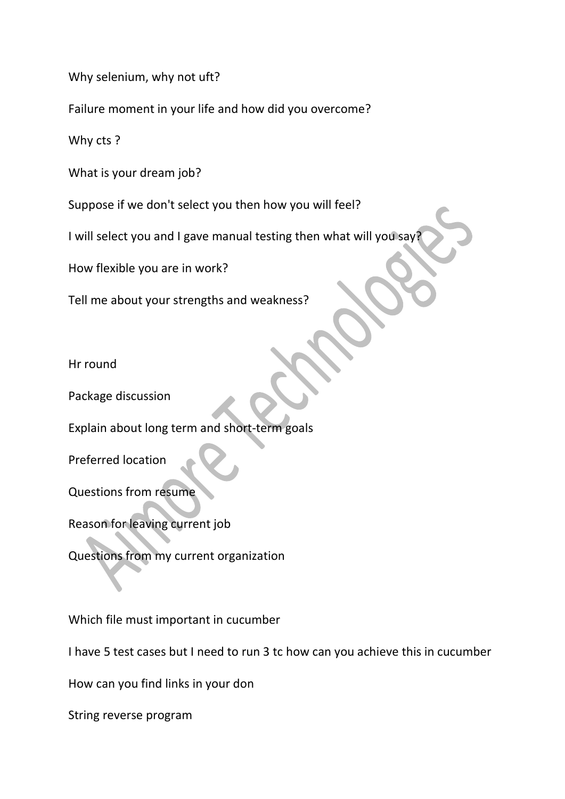Why selenium, why not uft?

Failure moment in your life and how did you overcome?

Why cts ?

What is your dream job?

Suppose if we don't select you then how you will feel?

I will select you and I gave manual testing then what will you say?

How flexible you are in work?

Tell me about your strengths and weakness?

Hr round

Package discussion

Explain about long term and short-term goals

Preferred location

Questions from resume

Reason for leaving current job

Questions from my current organization

Which file must important in cucumber

I have 5 test cases but I need to run 3 tc how can you achieve this in cucumber

How can you find links in your don

String reverse program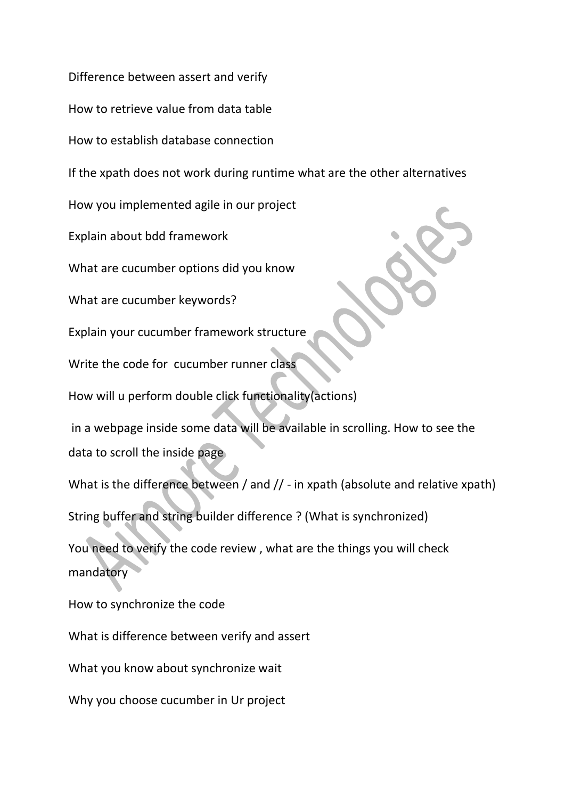Difference between assert and verify

How to retrieve value from data table

How to establish database connection

If the xpath does not work during runtime what are the other alternatives

How you implemented agile in our project

Explain about bdd framework

What are cucumber options did you know

What are cucumber keywords?

Explain your cucumber framework structure

Write the code for cucumber runner class

How will u perform double click functionality(actions)

in a webpage inside some data will be available in scrolling. How to see the data to scroll the inside page

What is the difference between / and // - in xpath (absolute and relative xpath) String buffer and string builder difference ? (What is synchronized)

You need to verify the code review , what are the things you will check mandatory

How to synchronize the code What is difference between verify and assert What you know about synchronize wait

Why you choose cucumber in Ur project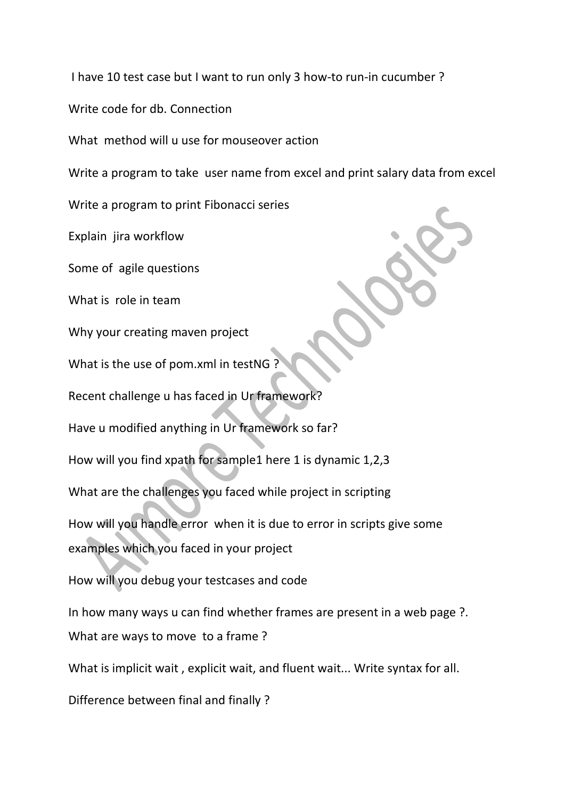I have 10 test case but I want to run only 3 how-to run-in cucumber ?

Write code for db. Connection

What method will u use for mouseover action

Write a program to take user name from excel and print salary data from excel

Write a program to print Fibonacci series

Explain jira workflow

Some of agile questions

What is role in team

Why your creating maven project

What is the use of pom.xml in testNG ?

Recent challenge u has faced in Ur framework?

Have u modified anything in Ur framework so far?

How will you find xpath for sample1 here 1 is dynamic 1,2,3

What are the challenges you faced while project in scripting

How will you handle error when it is due to error in scripts give some

examples which you faced in your project

How will you debug your testcases and code

In how many ways u can find whether frames are present in a web page ?. What are ways to move to a frame ?

What is implicit wait , explicit wait, and fluent wait... Write syntax for all.

Difference between final and finally ?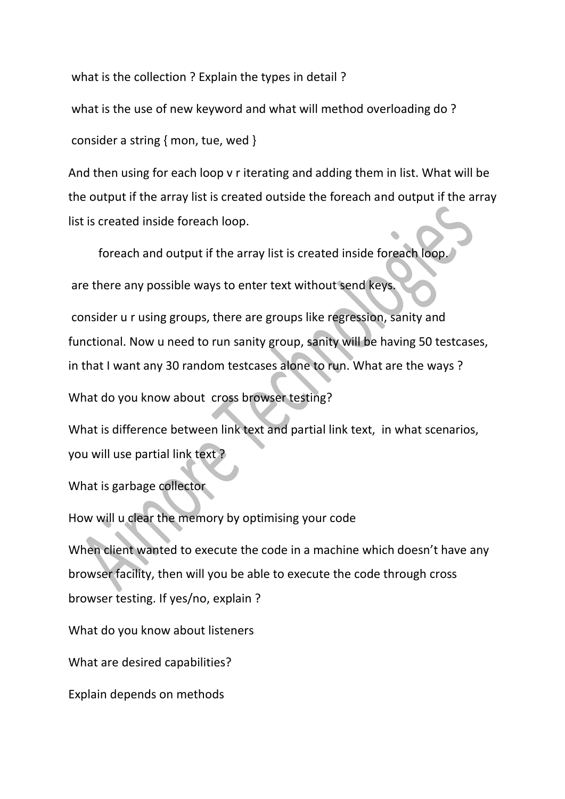what is the collection ? Explain the types in detail ?

what is the use of new keyword and what will method overloading do ?

consider a string { mon, tue, wed }

And then using for each loop v r iterating and adding them in list. What will be the output if the array list is created outside the foreach and output if the array list is created inside foreach loop.

foreach and output if the array list is created inside foreach loop.

are there any possible ways to enter text without send keys.

consider u r using groups, there are groups like regression, sanity and functional. Now u need to run sanity group, sanity will be having 50 testcases, in that I want any 30 random testcases alone to run. What are the ways ?

What do you know about cross browser testing?

What is difference between link text and partial link text, in what scenarios, you will use partial link text ?

What is garbage collector

How will u clear the memory by optimising your code

When client wanted to execute the code in a machine which doesn't have any browser facility, then will you be able to execute the code through cross browser testing. If yes/no, explain ?

What do you know about listeners

What are desired capabilities?

Explain depends on methods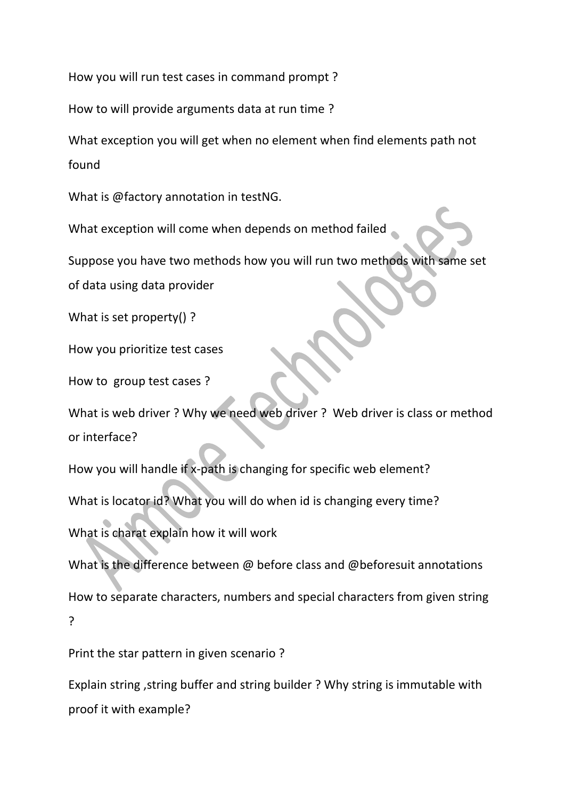How you will run test cases in command prompt ?

How to will provide arguments data at run time ?

What exception you will get when no element when find elements path not found

What is @factory annotation in testNG.

What exception will come when depends on method failed

Suppose you have two methods how you will run two methods with same set

of data using data provider

What is set property() ?

How you prioritize test cases

How to group test cases ?

What is web driver ? Why we need web driver ? Web driver is class or method or interface?

How you will handle if x-path is changing for specific web element?

What is locator id? What you will do when id is changing every time?

What is charat explain how it will work

What is the difference between @ before class and @beforesuit annotations How to separate characters, numbers and special characters from given string ?

Print the star pattern in given scenario ?

Explain string ,string buffer and string builder ? Why string is immutable with proof it with example?